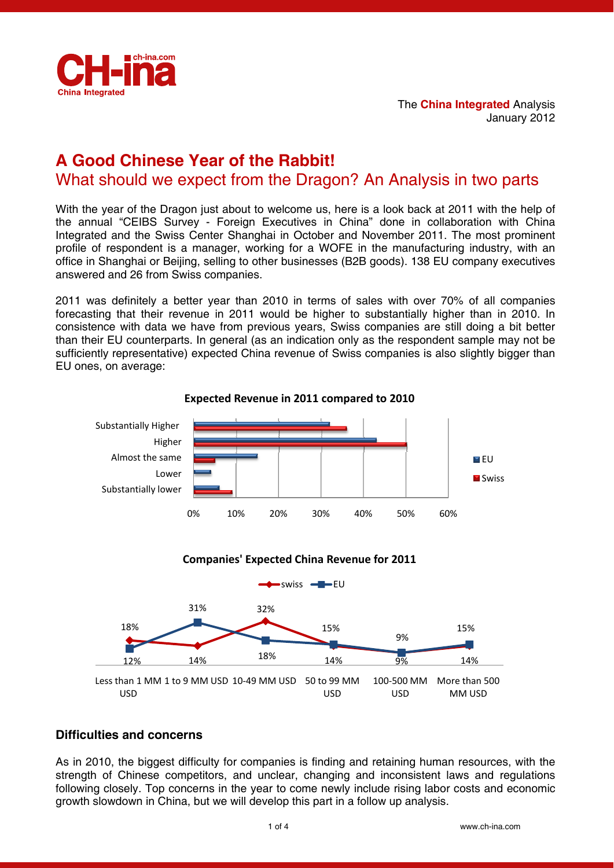

# **A Good Chinese Year of the Rabbit!**  What should we expect from the Dragon? An Analysis in two parts

With the year of the Dragon just about to welcome us, here is a look back at 2011 with the help of the annual "CEIBS Survey - Foreign Executives in China" done in collaboration with China Integrated and the Swiss Center Shanghai in October and November 2011. The most prominent profile of respondent is a manager, working for a WOFE in the manufacturing industry, with an office in Shanghai or Beijing, selling to other businesses (B2B goods). 138 EU company executives answered and 26 from Swiss companies.

2011 was definitely a better year than 2010 in terms of sales with over 70% of all companies forecasting that their revenue in 2011 would be higher to substantially higher than in 2010. In consistence with data we have from previous years, Swiss companies are still doing a bit better than their EU counterparts. In general (as an indication only as the respondent sample may not be sufficiently representative) expected China revenue of Swiss companies is also slightly bigger than EU ones, on average:



## **Expected Revenue in 2011 compared to 2010**



# **Difficulties and concerns**

As in 2010, the biggest difficulty for companies is finding and retaining human resources, with the strength of Chinese competitors, and unclear, changing and inconsistent laws and regulations following closely. Top concerns in the year to come newly include rising labor costs and economic growth slowdown in China, but we will develop this part in a follow up analysis.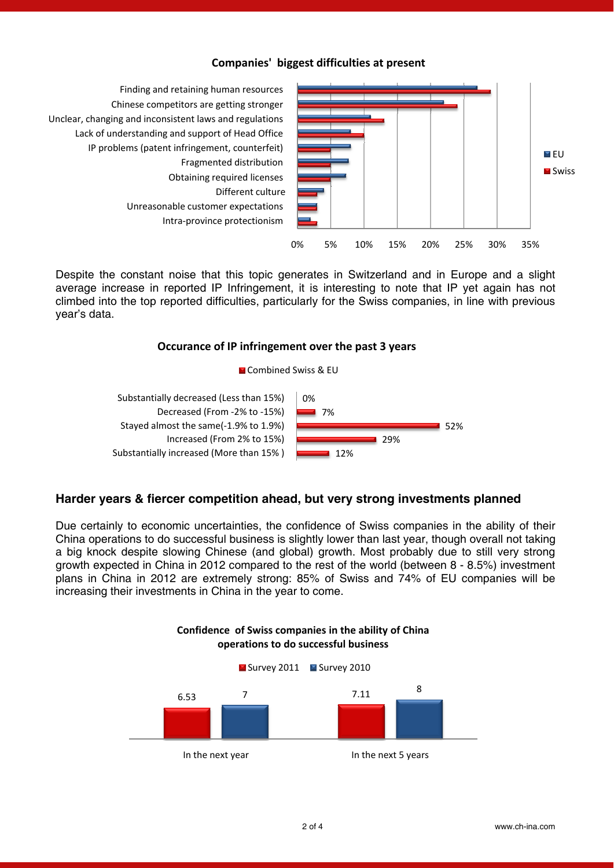# **Companies' biggest difficulties at present**



Despite the constant noise that this topic generates in Switzerland and in Europe and a slight average increase in reported IP Infringement, it is interesting to note that IP yet again has not climbed into the top reported difficulties, particularly for the Swiss companies, in line with previous year's data.

#### **Occurance of IP infringement over the past 3 years**

■ Combined Swiss & EU



# **Harder years & fiercer competition ahead, but very strong investments planned**

Due certainly to economic uncertainties, the confidence of Swiss companies in the ability of their China operations to do successful business is slightly lower than last year, though overall not taking a big knock despite slowing Chinese (and global) growth. Most probably due to still very strong growth expected in China in 2012 compared to the rest of the world (between 8 - 8.5%) investment plans in China in 2012 are extremely strong: 85% of Swiss and 74% of EU companies will be increasing their investments in China in the year to come.



**Confidence of Swiss companies in the ability of China**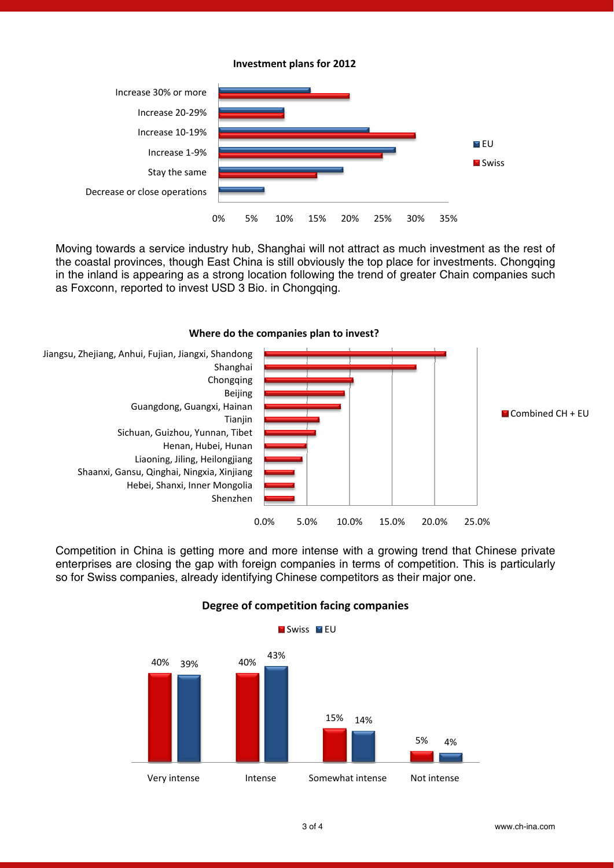#### **Investment plans for 2012**



Moving towards a service industry hub, Shanghai will not attract as much investment as the rest of the coastal provinces, though East China is still obviously the top place for investments. Chongqing in the inland is appearing as a strong location following the trend of greater Chain companies such as Foxconn, reported to invest USD 3 Bio. in Chongqing.

0.0% 5.0% 10.0% 15.0% 20.0% 25.0% Shenzhen Hebei, Shanxi, Inner Mongolia Shaanxi, Gansu, Qinghai, Ningxia, Xinjiang Liaoning, Jiling, Heilongjiang Henan, Hubei, Hunan Sichuan, Guizhou, Yunnan, Tibet Tianjin Guangdong, Guangxi, Hainan Beijing Chongqing Shanghai Jiangsu, Zhejiang, Anhui, Fujian, Jiangxi, Shandong **Where do the companies plan to invest?**  $\blacksquare$  Combined CH + EU

Competition in China is getting more and more intense with a growing trend that Chinese private enterprises are closing the gap with foreign companies in terms of competition. This is particularly so for Swiss companies, already identifying Chinese competitors as their major one.



## **Degree of competition facing companies**